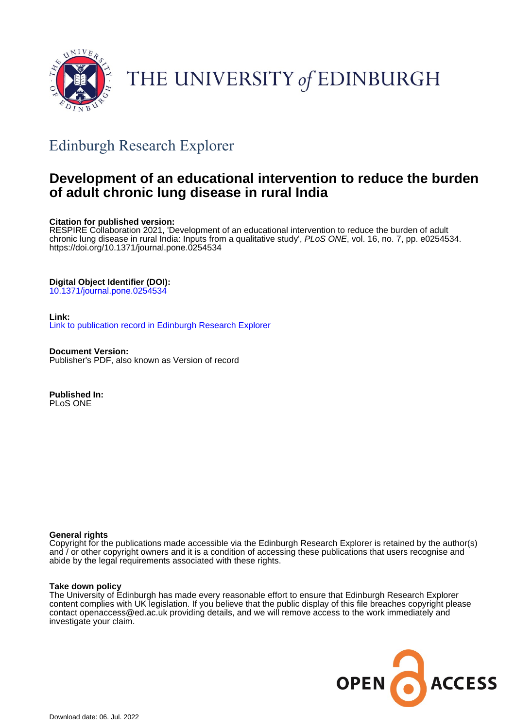

# THE UNIVERSITY of EDINBURGH

## Edinburgh Research Explorer

## **Development of an educational intervention to reduce the burden of adult chronic lung disease in rural India**

#### **Citation for published version:**

RESPIRE Collaboration 2021, 'Development of an educational intervention to reduce the burden of adult chronic lung disease in rural India: Inputs from a qualitative study', PLoS ONE, vol. 16, no. 7, pp. e0254534. <https://doi.org/10.1371/journal.pone.0254534>

#### **Digital Object Identifier (DOI):**

[10.1371/journal.pone.0254534](https://doi.org/10.1371/journal.pone.0254534)

#### **Link:**

[Link to publication record in Edinburgh Research Explorer](https://www.research.ed.ac.uk/en/publications/8af77631-990a-4414-a6e0-b340df1949b3)

**Document Version:** Publisher's PDF, also known as Version of record

**Published In:** PLoS ONE

#### **General rights**

Copyright for the publications made accessible via the Edinburgh Research Explorer is retained by the author(s) and / or other copyright owners and it is a condition of accessing these publications that users recognise and abide by the legal requirements associated with these rights.

#### **Take down policy**

The University of Edinburgh has made every reasonable effort to ensure that Edinburgh Research Explorer content complies with UK legislation. If you believe that the public display of this file breaches copyright please contact openaccess@ed.ac.uk providing details, and we will remove access to the work immediately and investigate your claim.

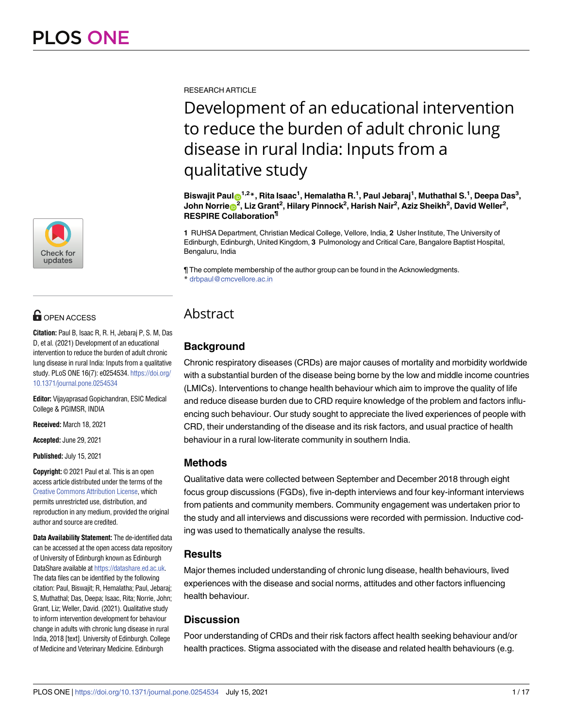

## **OPEN ACCESS**

**Citation:** Paul B, Isaac R, R. H, Jebaraj P, S. M, Das D, et al. (2021) Development of an educational intervention to reduce the burden of adult chronic lung disease in rural India: Inputs from a qualitative study. PLoS ONE 16(7): e0254534. [https://doi.org/](https://doi.org/10.1371/journal.pone.0254534) [10.1371/journal.pone.0254534](https://doi.org/10.1371/journal.pone.0254534)

**Editor:** Vijayaprasad Gopichandran, ESIC Medical College & PGIMSR, INDIA

**Received:** March 18, 2021

**Accepted:** June 29, 2021

**Published:** July 15, 2021

**Copyright:** © 2021 Paul et al. This is an open access article distributed under the terms of the Creative Commons [Attribution](http://creativecommons.org/licenses/by/4.0/) License, which permits unrestricted use, distribution, and reproduction in any medium, provided the original author and source are credited.

**Data Availability Statement:** The de-identified data can be accessed at the open access data repository of University of Edinburgh known as Edinburgh DataShare available at [https://datashare.ed.ac.uk.](https://datashare.ed.ac.uk) The data files can be identified by the following citation: Paul, Biswajit; R, Hemalatha; Paul, Jebaraj; S, Muthathal; Das, Deepa; Isaac, Rita; Norrie, John; Grant, Liz; Weller, David. (2021). Qualitative study to inform intervention development for behaviour change in adults with chronic lung disease in rural India, 2018 [text]. University of Edinburgh. College of Medicine and Veterinary Medicine. Edinburgh

RESEARCH ARTICLE

Development of an educational intervention to reduce the burden of adult chronic lung disease in rural India: Inputs from a qualitative study

Biswajit Paulo<sup>1,2</sup>\*, Rita Isaac<sup>1</sup>, Hemalatha R.<sup>1</sup>, Paul Jebaraj<sup>1</sup>, Muthathal S.<sup>1</sup>, Deepa Das<sup>3</sup>, John Norrie $\mathbf{\Theta}^2$ , Liz Grant<sup>2</sup>, Hilary Pinnock<sup>2</sup>, Harish Nair<sup>2</sup>, Aziz Sheikh<sup>2</sup>, David Weller<sup>2</sup>, **RESPIRE Collaboration¶**

**1** RUHSA Department, Christian Medical College, Vellore, India, **2** Usher Institute, The University of Edinburgh, Edinburgh, United Kingdom, **3** Pulmonology and Critical Care, Bangalore Baptist Hospital, Bengaluru, India

¶ The complete membership of the author group can be found in the Acknowledgments. \* drbpaul@cmcvellore.ac.in

### Abstract

#### **Background**

Chronic respiratory diseases (CRDs) are major causes of mortality and morbidity worldwide with a substantial burden of the disease being borne by the low and middle income countries (LMICs). Interventions to change health behaviour which aim to improve the quality of life and reduce disease burden due to CRD require knowledge of the problem and factors influencing such behaviour. Our study sought to appreciate the lived experiences of people with CRD, their understanding of the disease and its risk factors, and usual practice of health behaviour in a rural low-literate community in southern India.

#### **Methods**

Qualitative data were collected between September and December 2018 through eight focus group discussions (FGDs), five in-depth interviews and four key-informant interviews from patients and community members. Community engagement was undertaken prior to the study and all interviews and discussions were recorded with permission. Inductive coding was used to thematically analyse the results.

#### **Results**

Major themes included understanding of chronic lung disease, health behaviours, lived experiences with the disease and social norms, attitudes and other factors influencing health behaviour.

#### **Discussion**

Poor understanding of CRDs and their risk factors affect health seeking behaviour and/or health practices. Stigma associated with the disease and related health behaviours (e.g.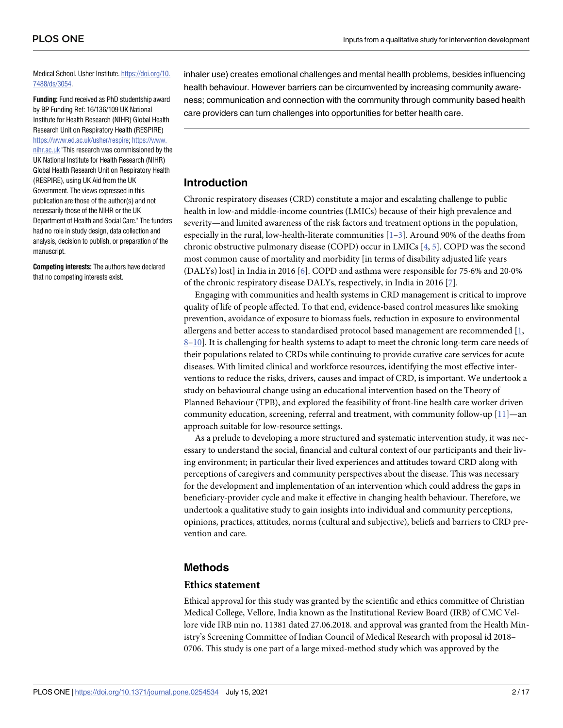<span id="page-2-0"></span>Medical School. Usher Institute. [https://doi.org/10.](https://doi.org/10.7488/ds/3054) [7488/ds/3054.](https://doi.org/10.7488/ds/3054)

**Funding:** Fund received as PhD studentship award by BP Funding Ref: 16/136/109 UK National Institute for Health Research (NIHR) Global Health Research Unit on Respiratory Health (RESPIRE) [https://www.ed.ac.uk/usher/respire;](https://www.ed.ac.uk/usher/respire) [https://www.](https://www.nihr.ac.uk) [nihr.ac.uk](https://www.nihr.ac.uk) "This research was commissioned by the UK National Institute for Health Research (NIHR) Global Health Research Unit on Respiratory Health (RESPIRE), using UK Aid from the UK Government. The views expressed in this publication are those of the author(s) and not necessarily those of the NIHR or the UK Department of Health and Social Care." The funders had no role in study design, data collection and analysis, decision to publish, or preparation of the manuscript.

**Competing interests:** The authors have declared that no competing interests exist.

inhaler use) creates emotional challenges and mental health problems, besides influencing health behaviour. However barriers can be circumvented by increasing community awareness; communication and connection with the community through community based health care providers can turn challenges into opportunities for better health care.

#### **Introduction**

Chronic respiratory diseases (CRD) constitute a major and escalating challenge to public health in low-and middle-income countries (LMICs) because of their high prevalence and severity—and limited awareness of the risk factors and treatment options in the population, especially in the rural, low-health-literate communities  $[1-3]$ . Around 90% of the deaths from chronic obstructive pulmonary disease (COPD) occur in LMICs [[4,](#page-15-0) [5\]](#page-15-0). COPD was the second most common cause of mortality and morbidity [in terms of disability adjusted life years (DALYs) lost] in India in 2016 [[6\]](#page-15-0). COPD and asthma were responsible for 75.6% and 20.0% of the chronic respiratory disease DALYs, respectively, in India in 2016 [[7](#page-15-0)].

Engaging with communities and health systems in CRD management is critical to improve quality of life of people affected. To that end, evidence-based control measures like smoking prevention, avoidance of exposure to biomass fuels, reduction in exposure to environmental allergens and better access to standardised protocol based management are recommended [\[1,](#page-15-0) [8–10](#page-15-0)]. It is challenging for health systems to adapt to meet the chronic long-term care needs of their populations related to CRDs while continuing to provide curative care services for acute diseases. With limited clinical and workforce resources, identifying the most effective interventions to reduce the risks, drivers, causes and impact of CRD, is important. We undertook a study on behavioural change using an educational intervention based on the Theory of Planned Behaviour (TPB), and explored the feasibility of front-line health care worker driven community education, screening, referral and treatment, with community follow-up [\[11\]](#page-15-0)—an approach suitable for low-resource settings.

As a prelude to developing a more structured and systematic intervention study, it was necessary to understand the social, financial and cultural context of our participants and their living environment; in particular their lived experiences and attitudes toward CRD along with perceptions of caregivers and community perspectives about the disease. This was necessary for the development and implementation of an intervention which could address the gaps in beneficiary-provider cycle and make it effective in changing health behaviour. Therefore, we undertook a qualitative study to gain insights into individual and community perceptions, opinions, practices, attitudes, norms (cultural and subjective), beliefs and barriers to CRD prevention and care.

#### **Methods**

#### **Ethics statement**

Ethical approval for this study was granted by the scientific and ethics committee of Christian Medical College, Vellore, India known as the Institutional Review Board (IRB) of CMC Vellore vide IRB min no. 11381 dated 27.06.2018. and approval was granted from the Health Ministry's Screening Committee of Indian Council of Medical Research with proposal id 2018– 0706. This study is one part of a large mixed-method study which was approved by the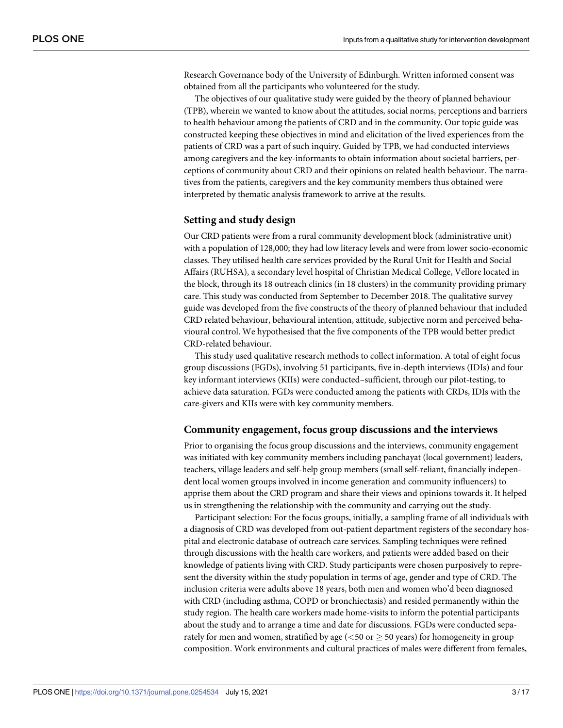Research Governance body of the University of Edinburgh. Written informed consent was obtained from all the participants who volunteered for the study.

The objectives of our qualitative study were guided by the theory of planned behaviour (TPB), wherein we wanted to know about the attitudes, social norms, perceptions and barriers to health behaviour among the patients of CRD and in the community. Our topic guide was constructed keeping these objectives in mind and elicitation of the lived experiences from the patients of CRD was a part of such inquiry. Guided by TPB, we had conducted interviews among caregivers and the key-informants to obtain information about societal barriers, perceptions of community about CRD and their opinions on related health behaviour. The narratives from the patients, caregivers and the key community members thus obtained were interpreted by thematic analysis framework to arrive at the results.

#### **Setting and study design**

Our CRD patients were from a rural community development block (administrative unit) with a population of 128,000; they had low literacy levels and were from lower socio-economic classes. They utilised health care services provided by the Rural Unit for Health and Social Affairs (RUHSA), a secondary level hospital of Christian Medical College, Vellore located in the block, through its 18 outreach clinics (in 18 clusters) in the community providing primary care. This study was conducted from September to December 2018. The qualitative survey guide was developed from the five constructs of the theory of planned behaviour that included CRD related behaviour, behavioural intention, attitude, subjective norm and perceived behavioural control. We hypothesised that the five components of the TPB would better predict CRD-related behaviour.

This study used qualitative research methods to collect information. A total of eight focus group discussions (FGDs), involving 51 participants, five in-depth interviews (IDIs) and four key informant interviews (KIIs) were conducted–sufficient, through our pilot-testing, to achieve data saturation. FGDs were conducted among the patients with CRDs, IDIs with the care-givers and KIIs were with key community members.

#### **Community engagement, focus group discussions and the interviews**

Prior to organising the focus group discussions and the interviews, community engagement was initiated with key community members including panchayat (local government) leaders, teachers, village leaders and self-help group members (small self-reliant, financially independent local women groups involved in income generation and community influencers) to apprise them about the CRD program and share their views and opinions towards it. It helped us in strengthening the relationship with the community and carrying out the study.

Participant selection: For the focus groups, initially, a sampling frame of all individuals with a diagnosis of CRD was developed from out-patient department registers of the secondary hospital and electronic database of outreach care services. Sampling techniques were refined through discussions with the health care workers, and patients were added based on their knowledge of patients living with CRD. Study participants were chosen purposively to represent the diversity within the study population in terms of age, gender and type of CRD. The inclusion criteria were adults above 18 years, both men and women who'd been diagnosed with CRD (including asthma, COPD or bronchiectasis) and resided permanently within the study region. The health care workers made home-visits to inform the potential participants about the study and to arrange a time and date for discussions. FGDs were conducted separately for men and women, stratified by age  $(< 50 \text{ or } \geq 50 \text{ years})$  for homogeneity in group composition. Work environments and cultural practices of males were different from females,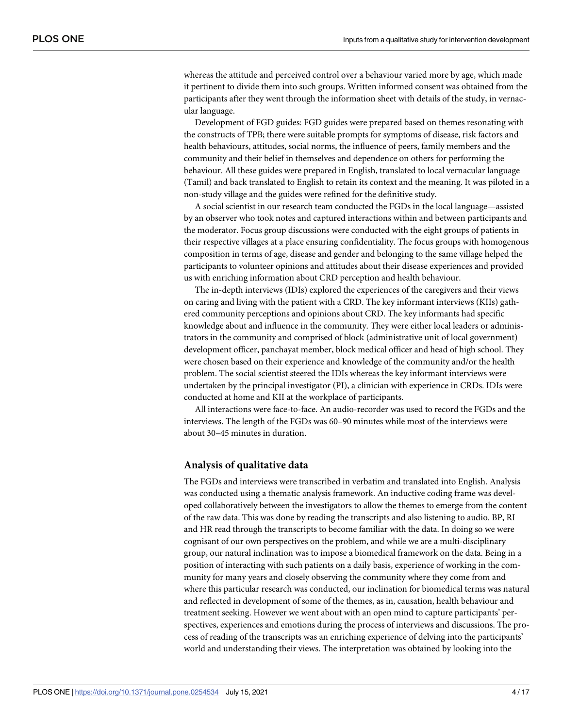whereas the attitude and perceived control over a behaviour varied more by age, which made it pertinent to divide them into such groups. Written informed consent was obtained from the participants after they went through the information sheet with details of the study, in vernacular language.

Development of FGD guides: FGD guides were prepared based on themes resonating with the constructs of TPB; there were suitable prompts for symptoms of disease, risk factors and health behaviours, attitudes, social norms, the influence of peers, family members and the community and their belief in themselves and dependence on others for performing the behaviour. All these guides were prepared in English, translated to local vernacular language (Tamil) and back translated to English to retain its context and the meaning. It was piloted in a non-study village and the guides were refined for the definitive study.

A social scientist in our research team conducted the FGDs in the local language—assisted by an observer who took notes and captured interactions within and between participants and the moderator. Focus group discussions were conducted with the eight groups of patients in their respective villages at a place ensuring confidentiality. The focus groups with homogenous composition in terms of age, disease and gender and belonging to the same village helped the participants to volunteer opinions and attitudes about their disease experiences and provided us with enriching information about CRD perception and health behaviour.

The in-depth interviews (IDIs) explored the experiences of the caregivers and their views on caring and living with the patient with a CRD. The key informant interviews (KIIs) gathered community perceptions and opinions about CRD. The key informants had specific knowledge about and influence in the community. They were either local leaders or administrators in the community and comprised of block (administrative unit of local government) development officer, panchayat member, block medical officer and head of high school. They were chosen based on their experience and knowledge of the community and/or the health problem. The social scientist steered the IDIs whereas the key informant interviews were undertaken by the principal investigator (PI), a clinician with experience in CRDs. IDIs were conducted at home and KII at the workplace of participants.

All interactions were face-to-face. An audio-recorder was used to record the FGDs and the interviews. The length of the FGDs was 60–90 minutes while most of the interviews were about 30–45 minutes in duration.

#### **Analysis of qualitative data**

The FGDs and interviews were transcribed in verbatim and translated into English. Analysis was conducted using a thematic analysis framework. An inductive coding frame was developed collaboratively between the investigators to allow the themes to emerge from the content of the raw data. This was done by reading the transcripts and also listening to audio. BP, RI and HR read through the transcripts to become familiar with the data. In doing so we were cognisant of our own perspectives on the problem, and while we are a multi-disciplinary group, our natural inclination was to impose a biomedical framework on the data. Being in a position of interacting with such patients on a daily basis, experience of working in the community for many years and closely observing the community where they come from and where this particular research was conducted, our inclination for biomedical terms was natural and reflected in development of some of the themes, as in, causation, health behaviour and treatment seeking. However we went about with an open mind to capture participants' perspectives, experiences and emotions during the process of interviews and discussions. The process of reading of the transcripts was an enriching experience of delving into the participants' world and understanding their views. The interpretation was obtained by looking into the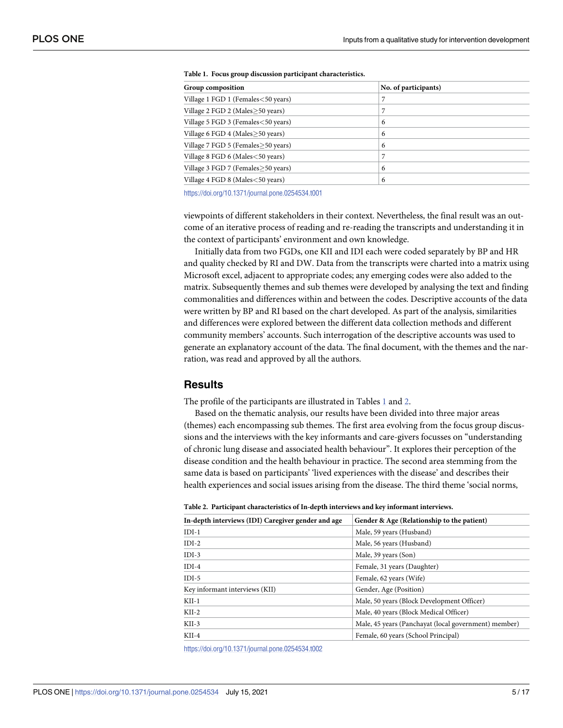| Group composition                    | No. of participants) |
|--------------------------------------|----------------------|
| Village 1 FGD 1 (Females < 50 years) |                      |
| Village 2 FGD 2 (Males>50 years)     | 7                    |
| Village 5 FGD 3 (Females < 50 years) | 6                    |
| Village 6 FGD 4 (Males>50 years)     | 6                    |
| Village 7 FGD 5 (Females≥50 years)   | 6                    |
| Village 8 FGD 6 (Males < 50 years)   | 7                    |
| Village 3 FGD 7 (Females≥50 years)   | 6                    |
| Village 4 FGD 8 (Males < 50 years)   | 6                    |

|  |  |  |  | Table 1. Focus group discussion participant characteristics. |
|--|--|--|--|--------------------------------------------------------------|
|--|--|--|--|--------------------------------------------------------------|

<https://doi.org/10.1371/journal.pone.0254534.t001>

viewpoints of different stakeholders in their context. Nevertheless, the final result was an outcome of an iterative process of reading and re-reading the transcripts and understanding it in the context of participants' environment and own knowledge.

Initially data from two FGDs, one KII and IDI each were coded separately by BP and HR and quality checked by RI and DW. Data from the transcripts were charted into a matrix using Microsoft excel, adjacent to appropriate codes; any emerging codes were also added to the matrix. Subsequently themes and sub themes were developed by analysing the text and finding commonalities and differences within and between the codes. Descriptive accounts of the data were written by BP and RI based on the chart developed. As part of the analysis, similarities and differences were explored between the different data collection methods and different community members' accounts. Such interrogation of the descriptive accounts was used to generate an explanatory account of the data. The final document, with the themes and the narration, was read and approved by all the authors.

#### **Results**

The profile of the participants are illustrated in Tables 1 and 2.

Based on the thematic analysis, our results have been divided into three major areas (themes) each encompassing sub themes. The first area evolving from the focus group discussions and the interviews with the key informants and care-givers focusses on "understanding of chronic lung disease and associated health behaviour". It explores their perception of the disease condition and the health behaviour in practice. The second area stemming from the same data is based on participants' 'lived experiences with the disease' and describes their health experiences and social issues arising from the disease. The third theme 'social norms,

|  |  | Table 2. Participant characteristics of In-depth interviews and key informant interviews. |  |  |  |  |  |
|--|--|-------------------------------------------------------------------------------------------|--|--|--|--|--|
|--|--|-------------------------------------------------------------------------------------------|--|--|--|--|--|

| In-depth interviews (IDI) Caregiver gender and age | Gender & Age (Relationship to the patient)           |
|----------------------------------------------------|------------------------------------------------------|
| $IDI-1$                                            | Male, 59 years (Husband)                             |
| $IDI-2$                                            | Male, 56 years (Husband)                             |
| $IDI-3$                                            | Male, 39 years (Son)                                 |
| $IDI-4$                                            | Female, 31 years (Daughter)                          |
| $IDI-5$                                            | Female, 62 years (Wife)                              |
| Key informant interviews (KII)                     | Gender, Age (Position)                               |
| $KII-1$                                            | Male, 50 years (Block Development Officer)           |
| $KII-2$                                            | Male, 40 years (Block Medical Officer)               |
| $KII-3$                                            | Male, 45 years (Panchayat (local government) member) |
| $KII-4$                                            | Female, 60 years (School Principal)                  |

<https://doi.org/10.1371/journal.pone.0254534.t002>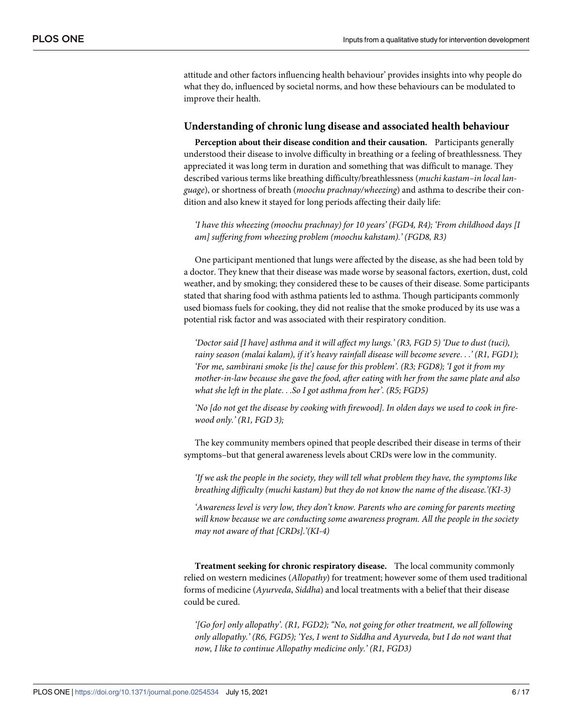attitude and other factors influencing health behaviour' provides insights into why people do what they do, influenced by societal norms, and how these behaviours can be modulated to improve their health.

#### **Understanding of chronic lung disease and associated health behaviour**

**Perception about their disease condition and their causation.** Participants generally understood their disease to involve difficulty in breathing or a feeling of breathlessness. They appreciated it was long term in duration and something that was difficult to manage. They described various terms like breathing difficulty/breathlessness (*muchi kastam–in local language*), or shortness of breath (*moochu prachnay/wheezing*) and asthma to describe their condition and also knew it stayed for long periods affecting their daily life:

*'I have this wheezing (moochu prachnay) for 10 years' (FGD4, R4); 'From childhood days [I am] suffering from wheezing problem (moochu kahstam).' (FGD8, R3)*

One participant mentioned that lungs were affected by the disease, as she had been told by a doctor. They knew that their disease was made worse by seasonal factors, exertion, dust, cold weather, and by smoking; they considered these to be causes of their disease. Some participants stated that sharing food with asthma patients led to asthma. Though participants commonly used biomass fuels for cooking, they did not realise that the smoke produced by its use was a potential risk factor and was associated with their respiratory condition.

*'Doctor said [I have] asthma and it will affect my lungs.' (R3, FGD 5) 'Due to dust (tuci), rainy season (malai kalam), if it's heavy rainfall disease will become severe*. . .*' (R1, FGD1); 'For me, sambirani smoke [is the] cause for this problem'. (R3; FGD8); 'I got it from my mother-in-law because she gave the food, after eating with her from the same plate and also what she left in the plate*. . .*So I got asthma from her'. (R5; FGD5)*

No [do not get the disease by cooking with firewood]. In olden days we used to cook in fire*wood only.' (R1, FGD 3);*

The key community members opined that people described their disease in terms of their symptoms–but that general awareness levels about CRDs were low in the community.

*'If we ask the people in the society, they will tell what problem they have, the symptoms like breathing difficulty (muchi kastam) but they do not know the name of the disease.'(KI-3)*

*'Awareness level is very low, they don't know. Parents who are coming for parents meeting will know because we are conducting some awareness program. All the people in the society may not aware of that [CRDs].'(KI-4)*

**Treatment seeking for chronic respiratory disease.** The local community commonly relied on western medicines (*Allopathy*) for treatment; however some of them used traditional forms of medicine (*Ayurveda*, *Siddha*) and local treatments with a belief that their disease could be cured.

*'[Go for] only allopathy'. (R1, FGD2); "No, not going for other treatment, we all following only allopathy.' (R6, FGD5); 'Yes, I went to Siddha and Ayurveda, but I do not want that now, I like to continue Allopathy medicine only.' (R1, FGD3)*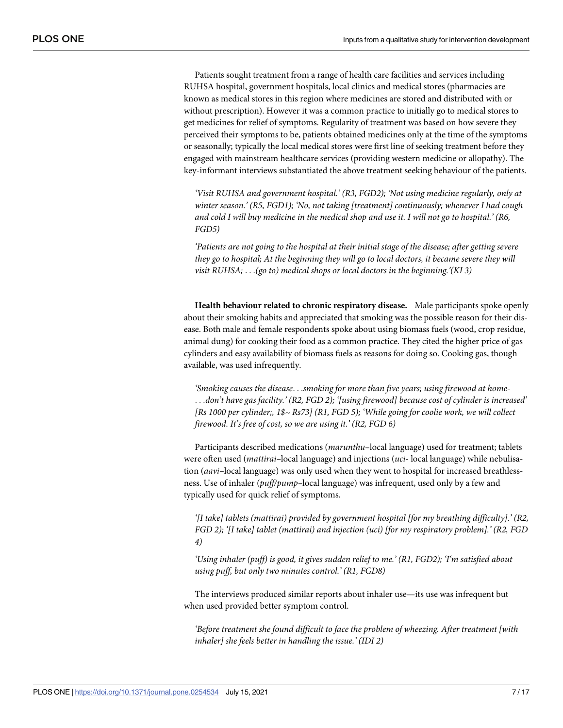Patients sought treatment from a range of health care facilities and services including RUHSA hospital, government hospitals, local clinics and medical stores (pharmacies are known as medical stores in this region where medicines are stored and distributed with or without prescription). However it was a common practice to initially go to medical stores to get medicines for relief of symptoms. Regularity of treatment was based on how severe they perceived their symptoms to be, patients obtained medicines only at the time of the symptoms or seasonally; typically the local medical stores were first line of seeking treatment before they engaged with mainstream healthcare services (providing western medicine or allopathy). The key-informant interviews substantiated the above treatment seeking behaviour of the patients.

*'Visit RUHSA and government hospital.' (R3, FGD2); 'Not using medicine regularly, only at winter season.' (R5, FGD1); 'No, not taking [treatment] continuously; whenever I had cough* and cold I will buy medicine in the medical shop and use it. I will not go to hospital.' (R6, *FGD5)*

*'Patients are not going to the hospital at their initial stage of the disease; after getting severe they go to hospital; At the beginning they will go to local doctors, it became severe they will visit RUHSA;* . . .*(go to) medical shops or local doctors in the beginning.'(KI 3)*

**Health behaviour related to chronic respiratory disease.** Male participants spoke openly about their smoking habits and appreciated that smoking was the possible reason for their disease. Both male and female respondents spoke about using biomass fuels (wood, crop residue, animal dung) for cooking their food as a common practice. They cited the higher price of gas cylinders and easy availability of biomass fuels as reasons for doing so. Cooking gas, though available, was used infrequently.

*'Smoking causes the disease*. . .*smoking for more than five years; using firewood at home-* . . .*don't have gas facility.' (R2, FGD 2); '[using firewood] because cost of cylinder is increased' [Rs 1000 per cylinder;, 1\$~ Rs73] (R1, FGD 5); 'While going for coolie work, we will collect firewood. It's free of cost, so we are using it.' (R2, FGD 6)*

Participants described medications (*marunthu*–local language) used for treatment; tablets were often used (*mattirai–*local language) and injections (*uci*- local language) while nebulisation (*aavi*–local language) was only used when they went to hospital for increased breathlessness. Use of inhaler (*puff/pump–*local language) was infrequent, used only by a few and typically used for quick relief of symptoms.

*'[I take] tablets (mattirai) provided by government hospital [for my breathing difficulty].' (R2, FGD 2); '[I take] tablet (mattirai) and injection (uci) [for my respiratory problem].' (R2, FGD 4)*

*'Using inhaler (puff) is good, it gives sudden relief to me.' (R1, FGD2); 'I'm satisfied about using puff, but only two minutes control.' (R1, FGD8)*

The interviews produced similar reports about inhaler use—its use was infrequent but when used provided better symptom control.

*'Before treatment she found difficult to face the problem of wheezing. After treatment [with inhaler] she feels better in handling the issue.' (IDI 2)*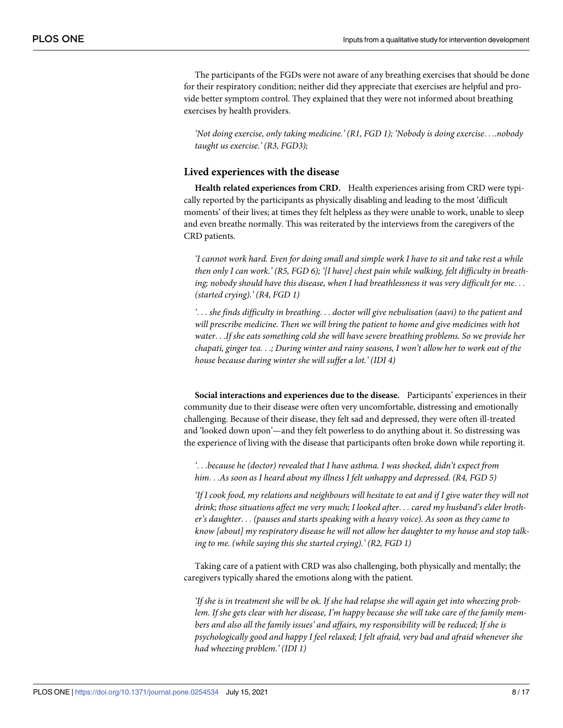The participants of the FGDs were not aware of any breathing exercises that should be done for their respiratory condition; neither did they appreciate that exercises are helpful and provide better symptom control. They explained that they were not informed about breathing exercises by health providers.

*'Not doing exercise, only taking medicine.' (R1, FGD 1); 'Nobody is doing exercise*. . .*.nobody taught us exercise.' (R3, FGD3);*

#### **Lived experiences with the disease**

**Health related experiences from CRD.** Health experiences arising from CRD were typically reported by the participants as physically disabling and leading to the most 'difficult moments' of their lives; at times they felt helpless as they were unable to work, unable to sleep and even breathe normally. This was reiterated by the interviews from the caregivers of the CRD patients.

I cannot work hard. Even for doing small and simple work I have to sit and take rest a while then only I can work.' (R5, FGD 6); '[I have] chest pain while walking, felt difficulty in breath*ing; nobody should have this disease, when I had breathlessness it was very difficult for me*. . . *(started crying).' (R4, FGD 1)*

*'*. . . *she finds difficulty in breathing*. . . *doctor will give nebulisation (aavi) to the patient and will prescribe medicine. Then we will bring the patient to home and give medicines with hot water*. . .*If she eats something cold she will have severe breathing problems. So we provide her chapati, ginger tea*. . .*; During winter and rainy seasons, I won't allow her to work out of the house because during winter she will suffer a lot.' (IDI 4)*

**Social interactions and experiences due to the disease.** Participants' experiences in their community due to their disease were often very uncomfortable, distressing and emotionally challenging. Because of their disease, they felt sad and depressed, they were often ill-treated and 'looked down upon'—and they felt powerless to do anything about it. So distressing was the experience of living with the disease that participants often broke down while reporting it.

*'*. . .*because he (doctor) revealed that I have asthma. I was shocked, didn't expect from him*. . .*As soon as I heard about my illness I felt unhappy and depressed. (R4, FGD 5)*

'If I cook food, my relations and neighbours will hesitate to eat and if I give water they will not *drink; those situations affect me very much; I looked after*. . . *cared my husband's elder brother's daughter*. . . *(pauses and starts speaking with a heavy voice). As soon as they came to know [about] my respiratory disease he will not allow her daughter to my house and stop talking to me. (while saying this she started crying).' (R2, FGD 1)*

Taking care of a patient with CRD was also challenging, both physically and mentally; the caregivers typically shared the emotions along with the patient.

If she is in treatment she will be ok. If she had relapse she will again get into wheezing problem. If she gets clear with her disease, I'm happy because she will take care of the family mem*bers and also all the family issues' and affairs, my responsibility will be reduced; If she is psychologically good and happy I feel relaxed; I felt afraid, very bad and afraid whenever she had wheezing problem.' (IDI 1)*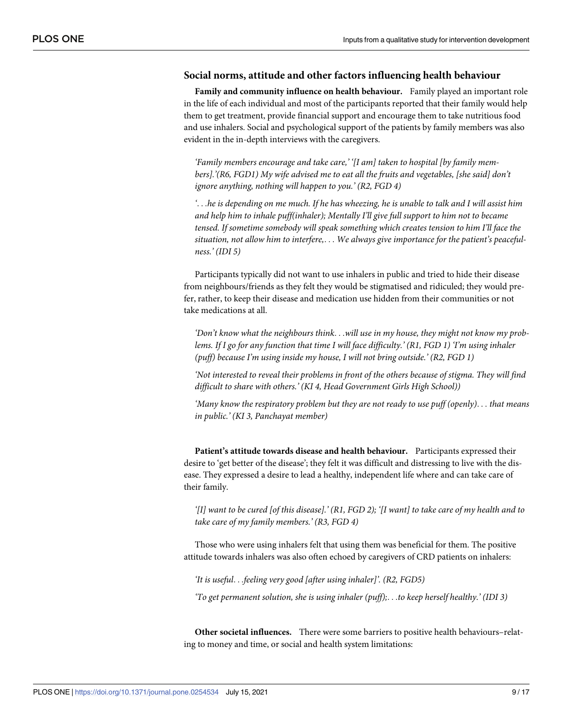#### **Social norms, attitude and other factors influencing health behaviour**

**Family and community influence on health behaviour.** Family played an important role in the life of each individual and most of the participants reported that their family would help them to get treatment, provide financial support and encourage them to take nutritious food and use inhalers. Social and psychological support of the patients by family members was also evident in the in-depth interviews with the caregivers.

*'Family members encourage and take care,' '[I am] taken to hospital [by family members].'(R6, FGD1) My wife advised me to eat all the fruits and vegetables, [she said] don't ignore anything, nothing will happen to you.' (R2, FGD 4)*

 $\ldots$  he is depending on me much. If he has wheezing, he is unable to talk and I will assist him *and help him to inhale puff(inhaler); Mentally I'll give full support to him not to became tensed. If sometime somebody will speak something which creates tension to him I'll face the situation, not allow him to interfere,*. . . *We always give importance for the patient's peacefulness.' (IDI 5)*

Participants typically did not want to use inhalers in public and tried to hide their disease from neighbours/friends as they felt they would be stigmatised and ridiculed; they would prefer, rather, to keep their disease and medication use hidden from their communities or not take medications at all.

*'Don't know what the neighbours think*. . .*will use in my house, they might not know my prob*lems. If I go for any function that time I will face difficulty.' (R1, FGD 1) 'I'm using inhaler *(puff) because I'm using inside my house, I will not bring outside.' (R2, FGD 1)*

*'Not interested to reveal their problems in front of the others because of stigma. They will find difficult to share with others.' (KI 4, Head Government Girls High School))*

*'Many know the respiratory problem but they are not ready to use puff (openly)*. . . *that means in public.' (KI 3, Panchayat member)*

**Patient's attitude towards disease and health behaviour.** Participants expressed their desire to 'get better of the disease'; they felt it was difficult and distressing to live with the disease. They expressed a desire to lead a healthy, independent life where and can take care of their family.

'[I] want to be cured [of this disease].' (R1, FGD 2); '[I want] to take care of my health and to *take care of my family members.' (R3, FGD 4)*

Those who were using inhalers felt that using them was beneficial for them. The positive attitude towards inhalers was also often echoed by caregivers of CRD patients on inhalers:

*'It is useful*. . .*feeling very good [after using inhaler]'. (R2, FGD5)*

*'To get permanent solution, she is using inhaler (puff);*. . .*to keep herself healthy.' (IDI 3)*

**Other societal influences.** There were some barriers to positive health behaviours–relating to money and time, or social and health system limitations: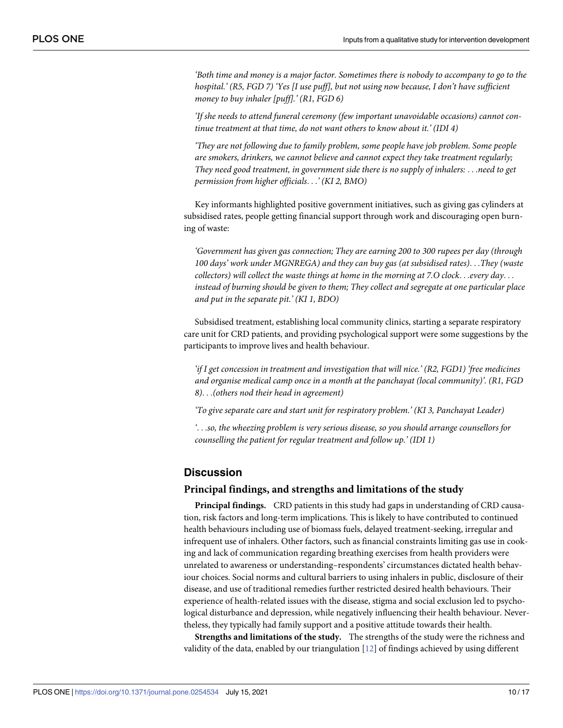<span id="page-10-0"></span>*'Both time and money is a major factor. Sometimes there is nobody to accompany to go to the hospital.' (R5, FGD 7) 'Yes [I use puff], but not using now because, I don't have sufficient money to buy inhaler [puff].' (R1, FGD 6)*

*'If she needs to attend funeral ceremony (few important unavoidable occasions) cannot continue treatment at that time, do not want others to know about it.' (IDI 4)*

*'They are not following due to family problem, some people have job problem. Some people are smokers, drinkers, we cannot believe and cannot expect they take treatment regularly; They need good treatment, in government side there is no supply of inhalers:* . . .*need to get permission from higher officials*. . .*' (KI 2, BMO)*

Key informants highlighted positive government initiatives, such as giving gas cylinders at subsidised rates, people getting financial support through work and discouraging open burning of waste:

*'Government has given gas connection; They are earning 200 to 300 rupees per day (through 100 days' work under MGNREGA) and they can buy gas (at subsidised rates)*. . .*They (waste collectors) will collect the waste things at home in the morning at 7.O clock*. . .*every day*. . . *instead of burning should be given to them; They collect and segregate at one particular place and put in the separate pit.' (KI 1, BDO)*

Subsidised treatment, establishing local community clinics, starting a separate respiratory care unit for CRD patients, and providing psychological support were some suggestions by the participants to improve lives and health behaviour.

*'if I get concession in treatment and investigation that will nice.' (R2, FGD1) 'free medicines and organise medical camp once in a month at the panchayat (local community)'. (R1, FGD 8)*. . .*(others nod their head in agreement)*

*'To give separate care and start unit for respiratory problem.' (KI 3, Panchayat Leader)*

*'*. . .*so, the wheezing problem is very serious disease, so you should arrange counsellors for counselling the patient for regular treatment and follow up.' (IDI 1)*

#### **Discussion**

#### **Principal findings, and strengths and limitations of the study**

**Principal findings.** CRD patients in this study had gaps in understanding of CRD causation, risk factors and long-term implications. This is likely to have contributed to continued health behaviours including use of biomass fuels, delayed treatment-seeking, irregular and infrequent use of inhalers. Other factors, such as financial constraints limiting gas use in cooking and lack of communication regarding breathing exercises from health providers were unrelated to awareness or understanding–respondents' circumstances dictated health behaviour choices. Social norms and cultural barriers to using inhalers in public, disclosure of their disease, and use of traditional remedies further restricted desired health behaviours. Their experience of health-related issues with the disease, stigma and social exclusion led to psychological disturbance and depression, while negatively influencing their health behaviour. Nevertheless, they typically had family support and a positive attitude towards their health.

**Strengths and limitations of the study.** The strengths of the study were the richness and validity of the data, enabled by our triangulation [\[12\]](#page-15-0) of findings achieved by using different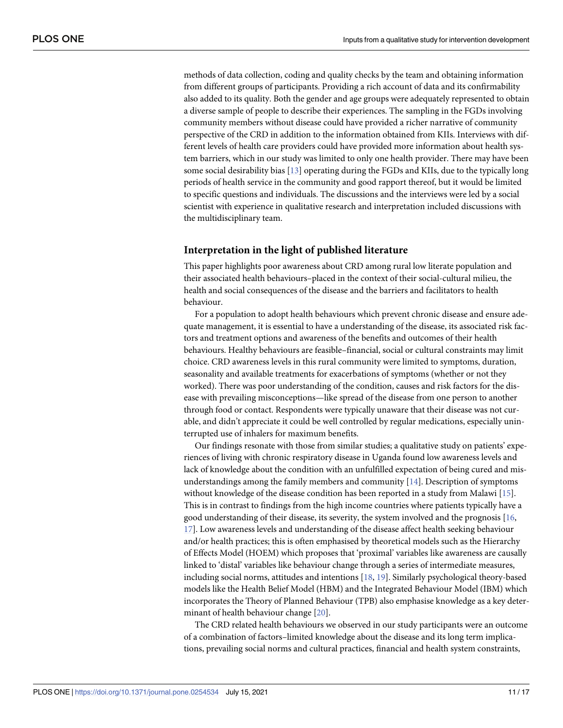<span id="page-11-0"></span>methods of data collection, coding and quality checks by the team and obtaining information from different groups of participants. Providing a rich account of data and its confirmability also added to its quality. Both the gender and age groups were adequately represented to obtain a diverse sample of people to describe their experiences. The sampling in the FGDs involving community members without disease could have provided a richer narrative of community perspective of the CRD in addition to the information obtained from KIIs. Interviews with different levels of health care providers could have provided more information about health system barriers, which in our study was limited to only one health provider. There may have been some social desirability bias [[13](#page-15-0)] operating during the FGDs and KIIs, due to the typically long periods of health service in the community and good rapport thereof, but it would be limited to specific questions and individuals. The discussions and the interviews were led by a social scientist with experience in qualitative research and interpretation included discussions with the multidisciplinary team.

#### **Interpretation in the light of published literature**

This paper highlights poor awareness about CRD among rural low literate population and their associated health behaviours–placed in the context of their social-cultural milieu, the health and social consequences of the disease and the barriers and facilitators to health behaviour.

For a population to adopt health behaviours which prevent chronic disease and ensure adequate management, it is essential to have a understanding of the disease, its associated risk factors and treatment options and awareness of the benefits and outcomes of their health behaviours. Healthy behaviours are feasible–financial, social or cultural constraints may limit choice. CRD awareness levels in this rural community were limited to symptoms, duration, seasonality and available treatments for exacerbations of symptoms (whether or not they worked). There was poor understanding of the condition, causes and risk factors for the disease with prevailing misconceptions—like spread of the disease from one person to another through food or contact. Respondents were typically unaware that their disease was not curable, and didn't appreciate it could be well controlled by regular medications, especially uninterrupted use of inhalers for maximum benefits.

Our findings resonate with those from similar studies; a qualitative study on patients' experiences of living with chronic respiratory disease in Uganda found low awareness levels and lack of knowledge about the condition with an unfulfilled expectation of being cured and misunderstandings among the family members and community [\[14\]](#page-16-0). Description of symptoms without knowledge of the disease condition has been reported in a study from Malawi [\[15\]](#page-16-0). This is in contrast to findings from the high income countries where patients typically have a good understanding of their disease, its severity, the system involved and the prognosis [\[16,](#page-16-0) [17\]](#page-16-0). Low awareness levels and understanding of the disease affect health seeking behaviour and/or health practices; this is often emphasised by theoretical models such as the Hierarchy of Effects Model (HOEM) which proposes that 'proximal' variables like awareness are causally linked to 'distal' variables like behaviour change through a series of intermediate measures, including social norms, attitudes and intentions [[18](#page-16-0), [19](#page-16-0)]. Similarly psychological theory-based models like the Health Belief Model (HBM) and the Integrated Behaviour Model (IBM) which incorporates the Theory of Planned Behaviour (TPB) also emphasise knowledge as a key determinant of health behaviour change [[20](#page-16-0)].

The CRD related health behaviours we observed in our study participants were an outcome of a combination of factors–limited knowledge about the disease and its long term implications, prevailing social norms and cultural practices, financial and health system constraints,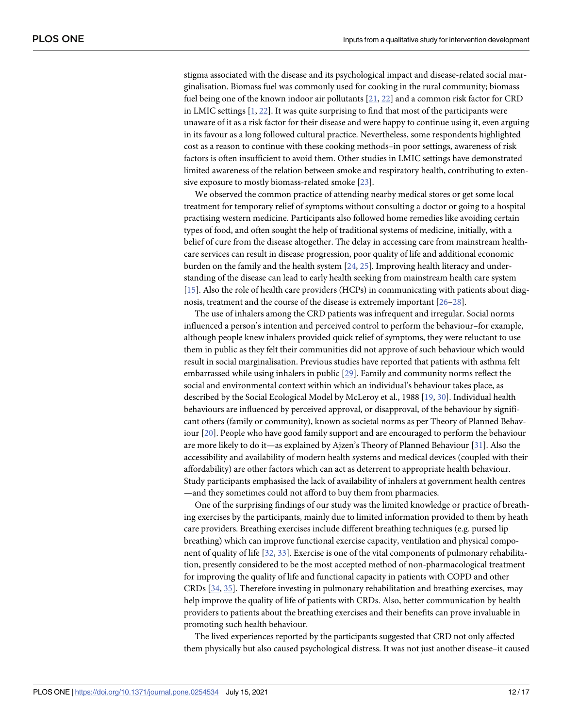<span id="page-12-0"></span>stigma associated with the disease and its psychological impact and disease-related social marginalisation. Biomass fuel was commonly used for cooking in the rural community; biomass fuel being one of the known indoor air pollutants [\[21,](#page-16-0) [22\]](#page-16-0) and a common risk factor for CRD in LMIC settings [[1,](#page-15-0) [22](#page-16-0)]. It was quite surprising to find that most of the participants were unaware of it as a risk factor for their disease and were happy to continue using it, even arguing in its favour as a long followed cultural practice. Nevertheless, some respondents highlighted cost as a reason to continue with these cooking methods–in poor settings, awareness of risk factors is often insufficient to avoid them. Other studies in LMIC settings have demonstrated limited awareness of the relation between smoke and respiratory health, contributing to extensive exposure to mostly biomass-related smoke [[23](#page-16-0)].

We observed the common practice of attending nearby medical stores or get some local treatment for temporary relief of symptoms without consulting a doctor or going to a hospital practising western medicine. Participants also followed home remedies like avoiding certain types of food, and often sought the help of traditional systems of medicine, initially, with a belief of cure from the disease altogether. The delay in accessing care from mainstream healthcare services can result in disease progression, poor quality of life and additional economic burden on the family and the health system [[24](#page-16-0), [25](#page-16-0)]. Improving health literacy and understanding of the disease can lead to early health seeking from mainstream health care system [\[15\]](#page-16-0). Also the role of health care providers (HCPs) in communicating with patients about diagnosis, treatment and the course of the disease is extremely important [[26–28\]](#page-16-0).

The use of inhalers among the CRD patients was infrequent and irregular. Social norms influenced a person's intention and perceived control to perform the behaviour–for example, although people knew inhalers provided quick relief of symptoms, they were reluctant to use them in public as they felt their communities did not approve of such behaviour which would result in social marginalisation. Previous studies have reported that patients with asthma felt embarrassed while using inhalers in public [[29](#page-16-0)]. Family and community norms reflect the social and environmental context within which an individual's behaviour takes place, as described by the Social Ecological Model by McLeroy et al., 1988 [[19](#page-16-0), [30](#page-16-0)]. Individual health behaviours are influenced by perceived approval, or disapproval, of the behaviour by significant others (family or community), known as societal norms as per Theory of Planned Behaviour [\[20\]](#page-16-0). People who have good family support and are encouraged to perform the behaviour are more likely to do it—as explained by Ajzen's Theory of Planned Behaviour [[31](#page-16-0)]. Also the accessibility and availability of modern health systems and medical devices (coupled with their affordability) are other factors which can act as deterrent to appropriate health behaviour. Study participants emphasised the lack of availability of inhalers at government health centres —and they sometimes could not afford to buy them from pharmacies.

One of the surprising findings of our study was the limited knowledge or practice of breathing exercises by the participants, mainly due to limited information provided to them by heath care providers. Breathing exercises include different breathing techniques (e.g. pursed lip breathing) which can improve functional exercise capacity, ventilation and physical component of quality of life [\[32,](#page-16-0) [33\]](#page-16-0). Exercise is one of the vital components of pulmonary rehabilitation, presently considered to be the most accepted method of non-pharmacological treatment for improving the quality of life and functional capacity in patients with COPD and other CRDs [\[34,](#page-16-0) [35\]](#page-17-0). Therefore investing in pulmonary rehabilitation and breathing exercises, may help improve the quality of life of patients with CRDs. Also, better communication by health providers to patients about the breathing exercises and their benefits can prove invaluable in promoting such health behaviour.

The lived experiences reported by the participants suggested that CRD not only affected them physically but also caused psychological distress. It was not just another disease–it caused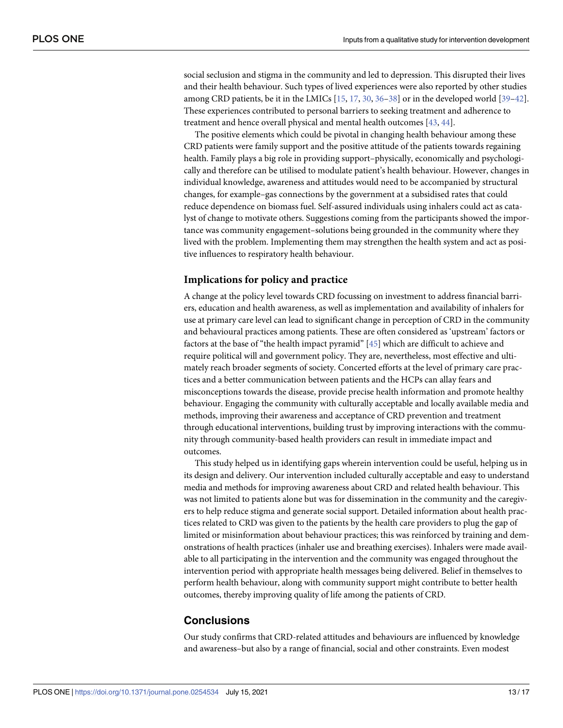<span id="page-13-0"></span>social seclusion and stigma in the community and led to depression. This disrupted their lives and their health behaviour. Such types of lived experiences were also reported by other studies among CRD patients, be it in the LMICs [\[15,](#page-16-0) [17,](#page-16-0) [30,](#page-16-0) [36–38](#page-17-0)] or in the developed world [[39–42\]](#page-17-0). These experiences contributed to personal barriers to seeking treatment and adherence to treatment and hence overall physical and mental health outcomes [\[43,](#page-17-0) [44\]](#page-17-0).

The positive elements which could be pivotal in changing health behaviour among these CRD patients were family support and the positive attitude of the patients towards regaining health. Family plays a big role in providing support–physically, economically and psychologically and therefore can be utilised to modulate patient's health behaviour. However, changes in individual knowledge, awareness and attitudes would need to be accompanied by structural changes, for example–gas connections by the government at a subsidised rates that could reduce dependence on biomass fuel. Self-assured individuals using inhalers could act as catalyst of change to motivate others. Suggestions coming from the participants showed the importance was community engagement–solutions being grounded in the community where they lived with the problem. Implementing them may strengthen the health system and act as positive influences to respiratory health behaviour.

#### **Implications for policy and practice**

A change at the policy level towards CRD focussing on investment to address financial barriers, education and health awareness, as well as implementation and availability of inhalers for use at primary care level can lead to significant change in perception of CRD in the community and behavioural practices among patients. These are often considered as 'upstream' factors or factors at the base of "the health impact pyramid" [\[45\]](#page-17-0) which are difficult to achieve and require political will and government policy. They are, nevertheless, most effective and ultimately reach broader segments of society. Concerted efforts at the level of primary care practices and a better communication between patients and the HCPs can allay fears and misconceptions towards the disease, provide precise health information and promote healthy behaviour. Engaging the community with culturally acceptable and locally available media and methods, improving their awareness and acceptance of CRD prevention and treatment through educational interventions, building trust by improving interactions with the community through community-based health providers can result in immediate impact and outcomes.

This study helped us in identifying gaps wherein intervention could be useful, helping us in its design and delivery. Our intervention included culturally acceptable and easy to understand media and methods for improving awareness about CRD and related health behaviour. This was not limited to patients alone but was for dissemination in the community and the caregivers to help reduce stigma and generate social support. Detailed information about health practices related to CRD was given to the patients by the health care providers to plug the gap of limited or misinformation about behaviour practices; this was reinforced by training and demonstrations of health practices (inhaler use and breathing exercises). Inhalers were made available to all participating in the intervention and the community was engaged throughout the intervention period with appropriate health messages being delivered. Belief in themselves to perform health behaviour, along with community support might contribute to better health outcomes, thereby improving quality of life among the patients of CRD.

#### **Conclusions**

Our study confirms that CRD-related attitudes and behaviours are influenced by knowledge and awareness–but also by a range of financial, social and other constraints. Even modest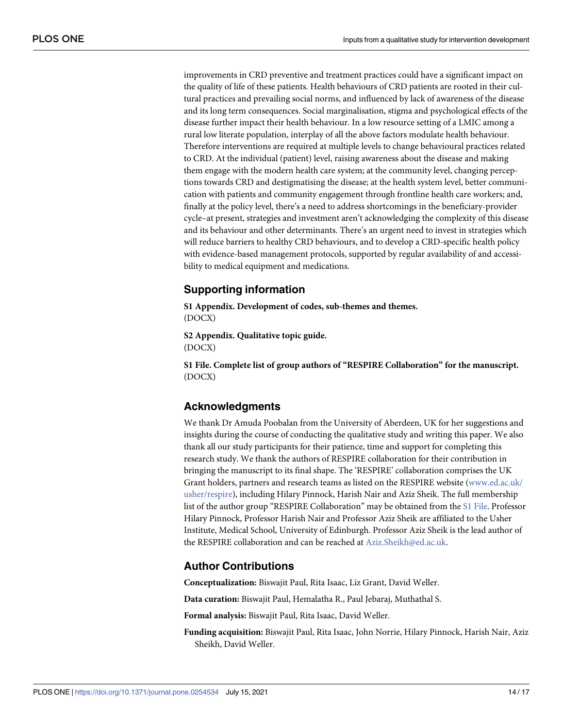improvements in CRD preventive and treatment practices could have a significant impact on the quality of life of these patients. Health behaviours of CRD patients are rooted in their cultural practices and prevailing social norms, and influenced by lack of awareness of the disease and its long term consequences. Social marginalisation, stigma and psychological effects of the disease further impact their health behaviour. In a low resource setting of a LMIC among a rural low literate population, interplay of all the above factors modulate health behaviour. Therefore interventions are required at multiple levels to change behavioural practices related to CRD. At the individual (patient) level, raising awareness about the disease and making them engage with the modern health care system; at the community level, changing perceptions towards CRD and destigmatising the disease; at the health system level, better communication with patients and community engagement through frontline health care workers; and, finally at the policy level, there's a need to address shortcomings in the beneficiary-provider cycle–at present, strategies and investment aren't acknowledging the complexity of this disease and its behaviour and other determinants. There's an urgent need to invest in strategies which will reduce barriers to healthy CRD behaviours, and to develop a CRD-specific health policy with evidence-based management protocols, supported by regular availability of and accessibility to medical equipment and medications.

#### **Supporting information**

**S1 [Appendix](http://www.plosone.org/article/fetchSingleRepresentation.action?uri=info:doi/10.1371/journal.pone.0254534.s001). Development of codes, sub-themes and themes.** (DOCX)

**S2 [Appendix](http://www.plosone.org/article/fetchSingleRepresentation.action?uri=info:doi/10.1371/journal.pone.0254534.s002). Qualitative topic guide.** (DOCX)

**S1 [File.](http://www.plosone.org/article/fetchSingleRepresentation.action?uri=info:doi/10.1371/journal.pone.0254534.s003) Complete list of group authors of "RESPIRE Collaboration" for the manuscript.** (DOCX)

#### **Acknowledgments**

We thank Dr Amuda Poobalan from the University of Aberdeen, UK for her suggestions and insights during the course of conducting the qualitative study and writing this paper. We also thank all our study participants for their patience, time and support for completing this research study. We thank the authors of RESPIRE collaboration for their contribution in bringing the manuscript to its final shape. The 'RESPIRE' collaboration comprises the UK Grant holders, partners and research teams as listed on the RESPIRE website ([www.ed.ac.uk/](http://www.ed.ac.uk/usher/respire) [usher/respire\)](http://www.ed.ac.uk/usher/respire), including Hilary Pinnock, Harish Nair and Aziz Sheik. The full membership list of the author group "RESPIRE Collaboration" may be obtained from the S1 File. Professor Hilary Pinnock, Professor Harish Nair and Professor Aziz Sheik are affiliated to the Usher Institute, Medical School, University of Edinburgh. Professor Aziz Sheik is the lead author of the RESPIRE collaboration and can be reached at Aziz.Sheikh@ed.ac.uk.

#### **Author Contributions**

**Conceptualization:** Biswajit Paul, Rita Isaac, Liz Grant, David Weller.

**Data curation:** Biswajit Paul, Hemalatha R., Paul Jebaraj, Muthathal S.

**Formal analysis:** Biswajit Paul, Rita Isaac, David Weller.

**Funding acquisition:** Biswajit Paul, Rita Isaac, John Norrie, Hilary Pinnock, Harish Nair, Aziz Sheikh, David Weller.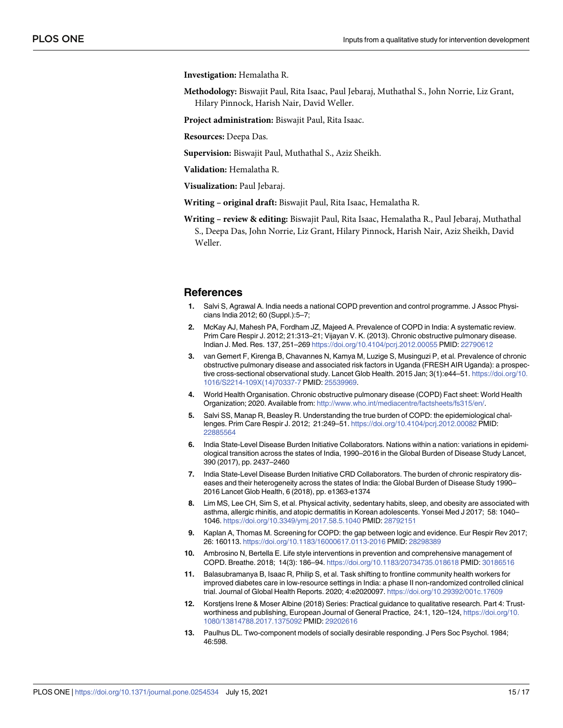<span id="page-15-0"></span>**Investigation:** Hemalatha R.

- **Methodology:** Biswajit Paul, Rita Isaac, Paul Jebaraj, Muthathal S., John Norrie, Liz Grant, Hilary Pinnock, Harish Nair, David Weller.
- **Project administration:** Biswajit Paul, Rita Isaac.

**Resources:** Deepa Das.

**Supervision:** Biswajit Paul, Muthathal S., Aziz Sheikh.

**Validation:** Hemalatha R.

**Visualization:** Paul Jebaraj.

- **Writing – original draft:** Biswajit Paul, Rita Isaac, Hemalatha R.
- **Writing – review & editing:** Biswajit Paul, Rita Isaac, Hemalatha R., Paul Jebaraj, Muthathal S., Deepa Das, John Norrie, Liz Grant, Hilary Pinnock, Harish Nair, Aziz Sheikh, David Weller.

#### **References**

- **[1](#page-2-0).** Salvi S, Agrawal A. India needs a national COPD prevention and control programme. J Assoc Physicians India 2012; 60 (Suppl.):5–7;
- **2.** McKay AJ, Mahesh PA, Fordham JZ, Majeed A. Prevalence of COPD in India: A systematic review. Prim Care Respir J. 2012; 21:313–21; Vijayan V. K. (2013). Chronic obstructive pulmonary disease. Indian J. Med. Res. 137, 251–269 <https://doi.org/10.4104/pcrj.2012.00055> PMID: [22790612](http://www.ncbi.nlm.nih.gov/pubmed/22790612)
- **[3](#page-2-0).** van Gemert F, Kirenga B, Chavannes N, Kamya M, Luzige S, Musinguzi P, et al. Prevalence of chronic obstructive pulmonary disease and associated risk factors in Uganda (FRESH AIR Uganda): a prospective cross-sectional observational study. Lancet Glob Health. 2015 Jan; 3(1):e44–51. [https://doi.org/10.](https://doi.org/10.1016/S2214-109X%2814%2970337-7) [1016/S2214-109X\(14\)70337-7](https://doi.org/10.1016/S2214-109X%2814%2970337-7) PMID: [25539969](http://www.ncbi.nlm.nih.gov/pubmed/25539969).
- **[4](#page-2-0).** World Health Organisation. Chronic obstructive pulmonary disease (COPD) Fact sheet: World Health Organization; 2020. Available from: [http://www.who.int/mediacentre/factsheets/fs315/en/.](http://www.who.int/mediacentre/factsheets/fs315/en/)
- **[5](#page-2-0).** Salvi SS, Manap R, Beasley R. Understanding the true burden of COPD: the epidemiological challenges. Prim Care Respir J. 2012; 21:249–51. <https://doi.org/10.4104/pcrj.2012.00082> PMID: [22885564](http://www.ncbi.nlm.nih.gov/pubmed/22885564)
- **[6](#page-2-0).** India State-Level Disease Burden Initiative Collaborators. Nations within a nation: variations in epidemiological transition across the states of India, 1990–2016 in the Global Burden of Disease Study Lancet, 390 (2017), pp. 2437–2460
- **[7](#page-2-0).** India State-Level Disease Burden Initiative CRD Collaborators. The burden of chronic respiratory diseases and their heterogeneity across the states of India: the Global Burden of Disease Study 1990– 2016 Lancet Glob Health, 6 (2018), pp. e1363-e1374
- **[8](#page-2-0).** Lim MS, Lee CH, Sim S, et al. Physical activity, sedentary habits, sleep, and obesity are associated with asthma, allergic rhinitis, and atopic dermatitis in Korean adolescents. Yonsei Med J 2017; 58: 1040– 1046. <https://doi.org/10.3349/ymj.2017.58.5.1040> PMID: [28792151](http://www.ncbi.nlm.nih.gov/pubmed/28792151)
- **9.** Kaplan A, Thomas M. Screening for COPD: the gap between logic and evidence. Eur Respir Rev 2017; 26: 160113. <https://doi.org/10.1183/16000617.0113-2016> PMID: [28298389](http://www.ncbi.nlm.nih.gov/pubmed/28298389)
- **[10](#page-2-0).** Ambrosino N, Bertella E. Life style interventions in prevention and comprehensive management of COPD. Breathe. 2018; 14(3): 186–94. <https://doi.org/10.1183/20734735.018618> PMID: [30186516](http://www.ncbi.nlm.nih.gov/pubmed/30186516)
- **[11](#page-2-0).** Balasubramanya B, Isaac R, Philip S, et al. Task shifting to frontline community health workers for improved diabetes care in low-resource settings in India: a phase II non-randomized controlled clinical trial. Journal of Global Health Reports. 2020; 4:e2020097. <https://doi.org/10.29392/001c.17609>
- **[12](#page-10-0).** Korstjens Irene & Moser Albine (2018) Series: Practical guidance to qualitative research. Part 4: Trustworthiness and publishing, European Journal of General Practice, 24:1, 120–124, [https://doi.org/10.](https://doi.org/10.1080/13814788.2017.1375092) [1080/13814788.2017.1375092](https://doi.org/10.1080/13814788.2017.1375092) PMID: [29202616](http://www.ncbi.nlm.nih.gov/pubmed/29202616)
- **[13](#page-11-0).** Paulhus DL. Two-component models of socially desirable responding. J Pers Soc Psychol. 1984; 46:598.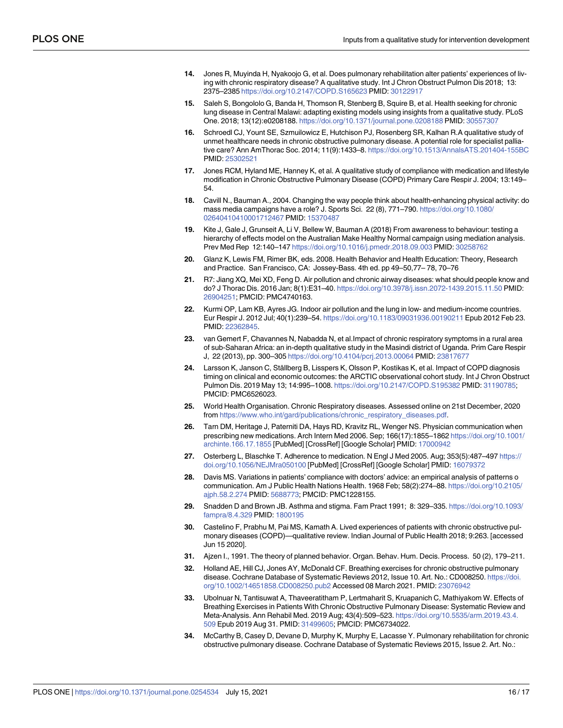- <span id="page-16-0"></span>**[14](#page-11-0).** Jones R, Muyinda H, Nyakoojo G, et al. Does pulmonary rehabilitation alter patients' experiences of living with chronic respiratory disease? A qualitative study. Int J Chron Obstruct Pulmon Dis 2018; 13: 2375–2385 <https://doi.org/10.2147/COPD.S165623> PMID: [30122917](http://www.ncbi.nlm.nih.gov/pubmed/30122917)
- **[15](#page-11-0).** Saleh S, Bongololo G, Banda H, Thomson R, Stenberg B, Squire B, et al. Health seeking for chronic lung disease in Central Malawi: adapting existing models using insights from a qualitative study. PLoS One. 2018; 13(12):e0208188. <https://doi.org/10.1371/journal.pone.0208188> PMID: [30557307](http://www.ncbi.nlm.nih.gov/pubmed/30557307)
- **[16](#page-11-0).** Schroedl CJ, Yount SE, Szmuilowicz E, Hutchison PJ, Rosenberg SR, Kalhan R.A qualitative study of unmet healthcare needs in chronic obstructive pulmonary disease. A potential role for specialist palliative care? Ann AmThorac Soc. 2014; 11(9):1433–8. <https://doi.org/10.1513/AnnalsATS.201404-155BC> PMID: [25302521](http://www.ncbi.nlm.nih.gov/pubmed/25302521)
- **[17](#page-11-0).** Jones RCM, Hyland ME, Hanney K, et al. A qualitative study of compliance with medication and lifestyle modification in Chronic Obstructive Pulmonary Disease (COPD) Primary Care Respir J. 2004; 13:149– 54.
- **[18](#page-11-0).** Cavill N., Bauman A., 2004. Changing the way people think about health-enhancing physical activity: do mass media campaigns have a role? J. Sports Sci. 22 (8), 771–790. [https://doi.org/10.1080/](https://doi.org/10.1080/02640410410001712467) [02640410410001712467](https://doi.org/10.1080/02640410410001712467) PMID: [15370487](http://www.ncbi.nlm.nih.gov/pubmed/15370487)
- **[19](#page-11-0).** Kite J, Gale J, Grunseit A, Li V, Bellew W, Bauman A (2018) From awareness to behaviour: testing a hierarchy of effects model on the Australian Make Healthy Normal campaign using mediation analysis. Prev Med Rep 12:140–147 <https://doi.org/10.1016/j.pmedr.2018.09.003> PMID: [30258762](http://www.ncbi.nlm.nih.gov/pubmed/30258762)
- **[20](#page-11-0).** Glanz K, Lewis FM, Rimer BK, eds. 2008. Health Behavior and Health Education: Theory, Research and Practice. San Francisco, CA: Jossey-Bass. 4th ed. pp 49–50,77– 78, 70–76
- **[21](#page-12-0).** R7: Jiang XQ, Mei XD, Feng D. Air pollution and chronic airway diseases: what should people know and do? J Thorac Dis. 2016 Jan; 8(1):E31–40. <https://doi.org/10.3978/j.issn.2072-1439.2015.11.50> PMID: [26904251](http://www.ncbi.nlm.nih.gov/pubmed/26904251); PMCID: PMC4740163.
- **[22](#page-12-0).** Kurmi OP, Lam KB, Ayres JG. Indoor air pollution and the lung in low- and medium-income countries. Eur Respir J. 2012 Jul; 40(1):239–54. <https://doi.org/10.1183/09031936.00190211> Epub 2012 Feb 23. PMID: [22362845](http://www.ncbi.nlm.nih.gov/pubmed/22362845).
- **[23](#page-12-0).** van Gemert F, Chavannes N, Nabadda N, et al.Impact of chronic respiratory symptoms in a rural area of sub-Saharan Africa: an in-depth qualitative study in the Masindi district of Uganda. Prim Care Respir J, 22 (2013), pp. 300–305 <https://doi.org/10.4104/pcrj.2013.00064> PMID: [23817677](http://www.ncbi.nlm.nih.gov/pubmed/23817677)
- [24](#page-12-0). Larsson K, Janson C, Ställberg B, Lisspers K, Olsson P, Kostikas K, et al. Impact of COPD diagnosis timing on clinical and economic outcomes: the ARCTIC observational cohort study. Int J Chron Obstruct Pulmon Dis. 2019 May 13; 14:995–1008. <https://doi.org/10.2147/COPD.S195382> PMID: [31190785](http://www.ncbi.nlm.nih.gov/pubmed/31190785); PMCID: PMC6526023.
- **[25](#page-12-0).** World Health Organisation. Chronic Respiratory diseases. Assessed online on 21st December, 2020 from [https://www.who.int/gard/publications/chronic\\_respiratory\\_diseases.pdf.](https://www.who.int/gard/publications/chronic_respiratory_diseases.pdf)
- **[26](#page-12-0).** Tarn DM, Heritage J, Paterniti DA, Hays RD, Kravitz RL, Wenger NS. Physician communication when prescribing new medications. Arch Intern Med 2006. Sep; 166(17):1855–1862 [https://doi.org/10.1001/](https://doi.org/10.1001/archinte.166.17.1855) [archinte.166.17.1855](https://doi.org/10.1001/archinte.166.17.1855) [PubMed] [CrossRef] [Google Scholar] PMID: [17000942](http://www.ncbi.nlm.nih.gov/pubmed/17000942)
- **27.** Osterberg L, Blaschke T. Adherence to medication. N Engl J Med 2005. Aug; 353(5):487–497 [https://](https://doi.org/10.1056/NEJMra050100) [doi.org/10.1056/NEJMra050100](https://doi.org/10.1056/NEJMra050100) [PubMed] [CrossRef] [Google Scholar] PMID: [16079372](http://www.ncbi.nlm.nih.gov/pubmed/16079372)
- **[28](#page-12-0).** Davis MS. Variations in patients' compliance with doctors' advice: an empirical analysis of patterns o communication. Am J Public Health Nations Health. 1968 Feb; 58(2):274–88. [https://doi.org/10.2105/](https://doi.org/10.2105/ajph.58.2.274) [ajph.58.2.274](https://doi.org/10.2105/ajph.58.2.274) PMID: [5688773](http://www.ncbi.nlm.nih.gov/pubmed/5688773); PMCID: PMC1228155.
- **[29](#page-12-0).** Snadden D and Brown JB. Asthma and stigma. Fam Pract 1991; 8: 329–335. [https://doi.org/10.1093/](https://doi.org/10.1093/fampra/8.4.329) [fampra/8.4.329](https://doi.org/10.1093/fampra/8.4.329) PMID: [1800195](http://www.ncbi.nlm.nih.gov/pubmed/1800195)
- **[30](#page-12-0).** Castelino F, Prabhu M, Pai MS, Kamath A. Lived experiences of patients with chronic obstructive pulmonary diseases (COPD)—qualitative review. Indian Journal of Public Health 2018; 9:263. [accessed Jun 15 2020].
- **[31](#page-12-0).** Ajzen I., 1991. The theory of planned behavior. Organ. Behav. Hum. Decis. Process. 50 (2), 179–211.
- **[32](#page-12-0).** Holland AE, Hill CJ, Jones AY, McDonald CF. Breathing exercises for chronic obstructive pulmonary disease. Cochrane Database of Systematic Reviews 2012, Issue 10. Art. No.: CD008250. [https://doi.](https://doi.org/10.1002/14651858.CD008250.pub2) [org/10.1002/14651858.CD008250.pub2](https://doi.org/10.1002/14651858.CD008250.pub2) Accessed 08 March 2021. PMID: [23076942](http://www.ncbi.nlm.nih.gov/pubmed/23076942)
- **[33](#page-12-0).** Ubolnuar N, Tantisuwat A, Thaveeratitham P, Lertmaharit S, Kruapanich C, Mathiyakom W. Effects of Breathing Exercises in Patients With Chronic Obstructive Pulmonary Disease: Systematic Review and Meta-Analysis. Ann Rehabil Med. 2019 Aug; 43(4):509–523. [https://doi.org/10.5535/arm.2019.43.4.](https://doi.org/10.5535/arm.2019.43.4.509) [509](https://doi.org/10.5535/arm.2019.43.4.509) Epub 2019 Aug 31. PMID: [31499605;](http://www.ncbi.nlm.nih.gov/pubmed/31499605) PMCID: PMC6734022.
- **[34](#page-12-0).** McCarthy B, Casey D, Devane D, Murphy K, Murphy E, Lacasse Y. Pulmonary rehabilitation for chronic obstructive pulmonary disease. Cochrane Database of Systematic Reviews 2015, Issue 2. Art. No.: